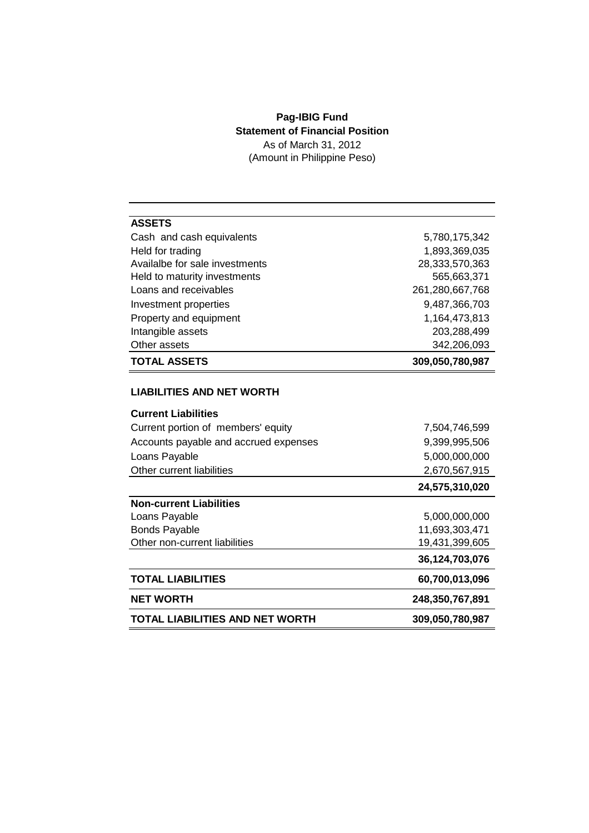## **Pag-IBIG Fund Statement of Financial Position** As of March 31, 2012

(Amount in Philippine Peso)

| <b>ASSETS</b>                         |                 |
|---------------------------------------|-----------------|
| Cash and cash equivalents             | 5,780,175,342   |
| Held for trading                      | 1,893,369,035   |
| Availalbe for sale investments        | 28,333,570,363  |
| Held to maturity investments          | 565,663,371     |
| Loans and receivables                 | 261,280,667,768 |
| Investment properties                 | 9,487,366,703   |
| Property and equipment                | 1,164,473,813   |
| Intangible assets                     | 203,288,499     |
| Other assets                          | 342,206,093     |
| <b>TOTAL ASSETS</b>                   | 309,050,780,987 |
|                                       |                 |
| <b>LIABILITIES AND NET WORTH</b>      |                 |
| <b>Current Liabilities</b>            |                 |
| Current portion of members' equity    | 7,504,746,599   |
| Accounts payable and accrued expenses | 9,399,995,506   |
| Loans Payable                         | 5,000,000,000   |
| Other current liabilities             | 2,670,567,915   |
|                                       | 24,575,310,020  |
| <b>Non-current Liabilities</b>        |                 |
| Loans Payable                         | 5,000,000,000   |
| <b>Bonds Payable</b>                  | 11,693,303,471  |
| Other non-current liabilities         | 19,431,399,605  |
|                                       | 36,124,703,076  |
| <b>TOTAL LIABILITIES</b>              | 60,700,013,096  |
| <b>NET WORTH</b>                      | 248,350,767,891 |
| TOTAL LIABILITIES AND NET WORTH       | 309,050,780,987 |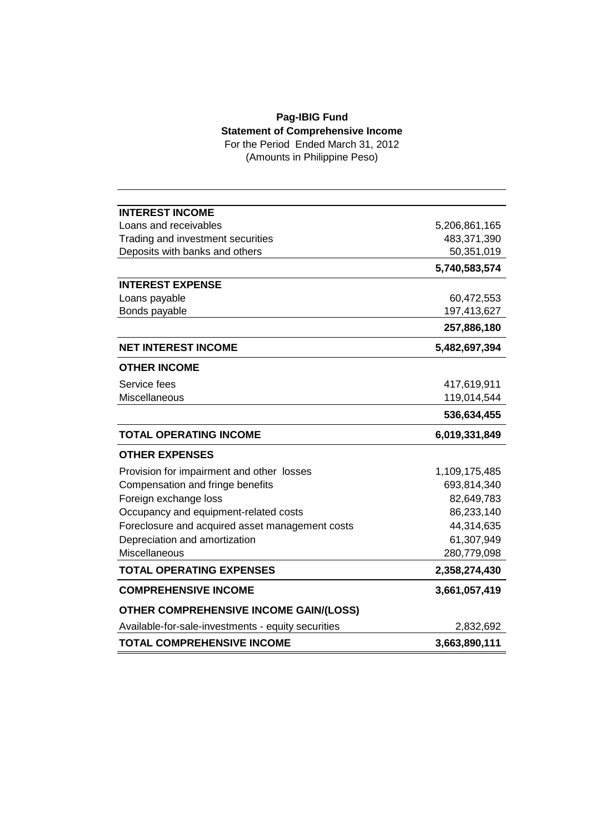## **Pag-IBIG Fund Statement of Comprehensive Income**

For the Period Ended March 31, 2012 (Amounts in Philippine Peso)

| <b>INTEREST INCOME</b>                             |               |
|----------------------------------------------------|---------------|
| Loans and receivables                              | 5,206,861,165 |
| Trading and investment securities                  | 483,371,390   |
| Deposits with banks and others                     | 50,351,019    |
|                                                    | 5,740,583,574 |
| <b>INTEREST EXPENSE</b>                            |               |
| Loans payable                                      | 60,472,553    |
| Bonds payable                                      | 197,413,627   |
|                                                    | 257,886,180   |
| <b>NET INTEREST INCOME</b>                         | 5,482,697,394 |
| <b>OTHER INCOME</b>                                |               |
| Service fees                                       | 417,619,911   |
| Miscellaneous                                      | 119,014,544   |
|                                                    | 536,634,455   |
| <b>TOTAL OPERATING INCOME</b>                      | 6,019,331,849 |
| <b>OTHER EXPENSES</b>                              |               |
| Provision for impairment and other losses          | 1,109,175,485 |
| Compensation and fringe benefits                   | 693,814,340   |
| Foreign exchange loss                              | 82,649,783    |
| Occupancy and equipment-related costs              | 86,233,140    |
| Foreclosure and acquired asset management costs    | 44,314,635    |
| Depreciation and amortization                      | 61,307,949    |
| Miscellaneous                                      | 280,779,098   |
| <b>TOTAL OPERATING EXPENSES</b>                    | 2,358,274,430 |
| <b>COMPREHENSIVE INCOME</b>                        | 3,661,057,419 |
|                                                    |               |
| OTHER COMPREHENSIVE INCOME GAIN/(LOSS)             |               |
| Available-for-sale-investments - equity securities | 2,832,692     |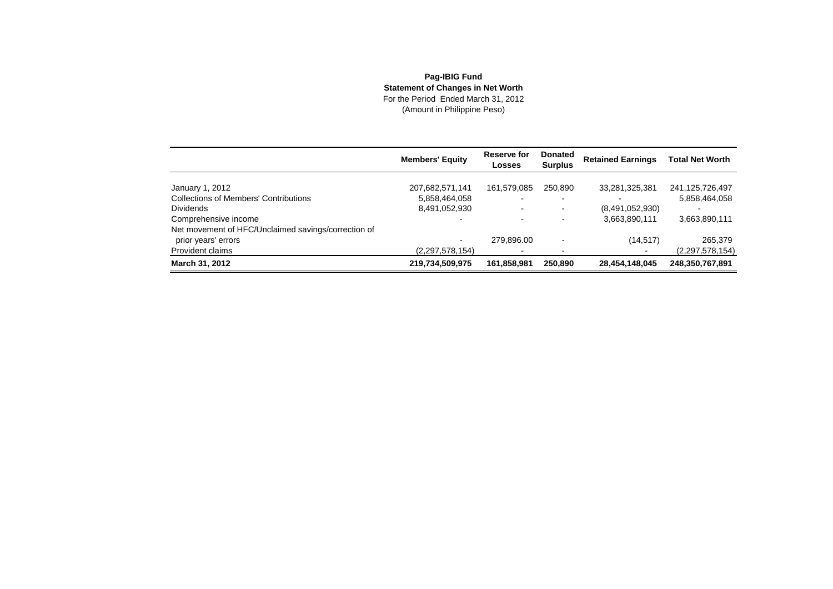## **Pag-IBIG Fund Statement of Changes in Net Worth** For the Period Ended March 31, 2012(Amount in Philippine Peso)

|                                                     | <b>Members' Equity</b>   | Reserve for<br><b>Losses</b> | <b>Donated</b><br><b>Surplus</b> | <b>Retained Earnings</b> | <b>Total Net Worth</b> |
|-----------------------------------------------------|--------------------------|------------------------------|----------------------------------|--------------------------|------------------------|
| January 1, 2012                                     | 207,682,571,141          | 161,579,085                  | 250.890                          | 33,281,325,381           | 241,125,726,497        |
| <b>Collections of Members' Contributions</b>        | 5,858,464,058            |                              |                                  |                          | 5,858,464,058          |
| <b>Dividends</b>                                    | 8,491,052,930            | $\overline{\phantom{0}}$     | $\blacksquare$                   | (8,491,052,930)          |                        |
| Comprehensive income                                |                          |                              |                                  | 3,663,890,111            | 3,663,890,111          |
| Net movement of HFC/Unclaimed savings/correction of |                          |                              |                                  |                          |                        |
| prior years' errors                                 | $\overline{\phantom{0}}$ | 279.896.00                   |                                  | (14, 517)                | 265,379                |
| Provident claims                                    | (2,297,578,154)          |                              |                                  |                          | (2,297,578,154)        |
| March 31, 2012                                      | 219,734,509,975          | 161,858,981                  | 250,890                          | 28,454,148,045           | 248,350,767,891        |